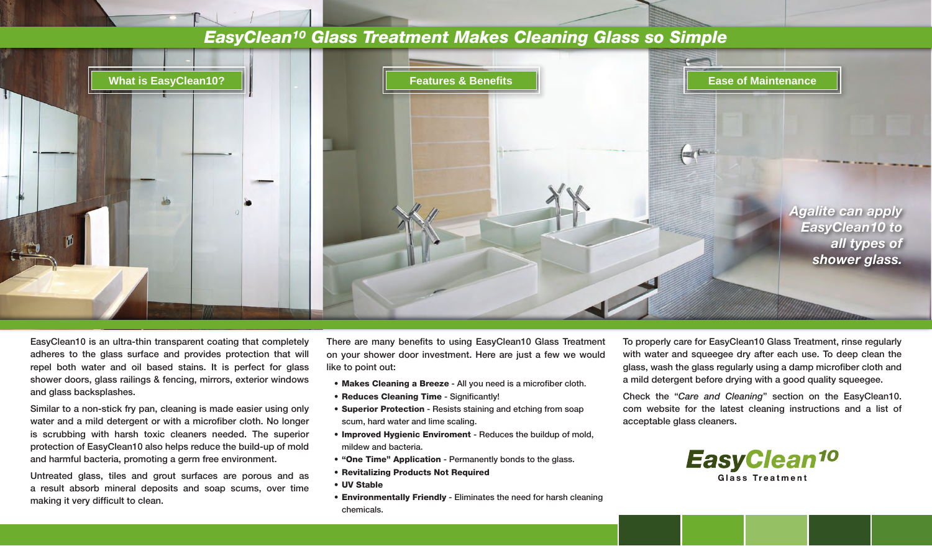## *EasyClean10 Glass Treatment Makes Cleaning Glass so Simple*



EasyClean10 is an ultra-thin transparent coating that completely adheres to the glass surface and provides protection that will repel both water and oil based stains. It is perfect for glass shower doors, glass railings & fencing, mirrors, exterior windows and glass backsplashes.

Similar to a non-stick fry pan, cleaning is made easier using only water and a mild detergent or with a microfiber cloth. No longer is scrubbing with harsh toxic cleaners needed. The superior protection of EasyClean10 also helps reduce the build-up of mold and harmful bacteria, promoting a germ free environment.

Untreated glass, tiles and grout surfaces are porous and as a result absorb mineral deposits and soap scums, over time making it very difficult to clean.

There are many benefits to using EasyClean10 Glass Treatment on your shower door investment. Here are just a few we would like to point out:

- Makes Cleaning a Breeze All you need is a microfiber cloth.
- • Reduces Cleaning Time Significantly!
- Superior Protection Resists staining and etching from soap scum, hard water and lime scaling.
- Improved Hygienic Enviroment Reduces the buildup of mold, mildew and bacteria.
- "One Time" Application Permanently bonds to the glass.
- • Revitalizing Products Not Required
- • UV Stable
- Environmentally Friendly Eliminates the need for harsh cleaning chemicals.

To properly care for EasyClean10 Glass Treatment, rinse regularly with water and squeegee dry after each use. To deep clean the glass, wash the glass regularly using a damp microfiber cloth and a mild detergent before drying with a good quality squeegee.

Check the "*Care and Cleaning*" section on the EasyClean10. com website for the latest cleaning instructions and a list of acceptable glass cleaners.